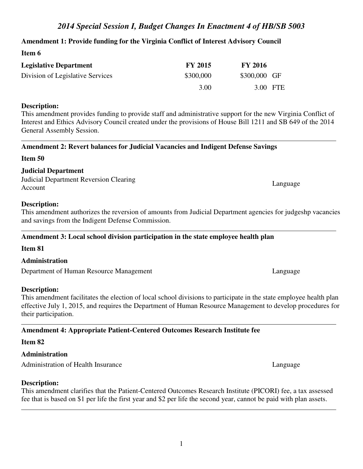## **Amendment 1: Provide funding for the Virginia Conflict of Interest Advisory Council**

| <b>Legislative Department</b>    | <b>FY 2015</b> | <b>FY 2016</b> |  |
|----------------------------------|----------------|----------------|--|
| Division of Legislative Services | \$300,000      | \$300,000 GF   |  |
|                                  | 3.00           | 3.00 FTE       |  |

#### **Description:**

**Item 6** 

This amendment provides funding to provide staff and administrative support for the new Virginia Conflict of Interest and Ethics Advisory Council created under the provisions of House Bill 1211 and SB 649 of the 2014 General Assembly Session.

## **Amendment 2: Revert balances for Judicial Vacancies and Indigent Defense Savings**

### **Item 50**

## **Judicial Department**

Judicial Department Reversion Clearing Account Language Language Language Language Language Language Language Language Language Language Language Language Language Language Language Language Language Language Language Language Language Language Language Languag

## **Description:**

This amendment authorizes the reversion of amounts from Judicial Department agencies for judgeshp vacancies and savings from the Indigent Defense Commission.

## **Amendment 3: Local school division participation in the state employee health plan**

## **Item 81**

## **Administration**

Department of Human Resource Management Language

## **Description:**

This amendment facilitates the election of local school divisions to participate in the state employee health plan effective July 1, 2015, and requires the Department of Human Resource Management to develop procedures for their participation.

# **Amendment 4: Appropriate Patient-Centered Outcomes Research Institute fee**

## **Item 82**

## **Administration**

Administration of Health Insurance Language Language

## **Description:**

This amendment clarifies that the Patient-Centered Outcomes Research Institute (PICORI) fee, a tax assessed fee that is based on \$1 per life the first year and \$2 per life the second year, cannot be paid with plan assets.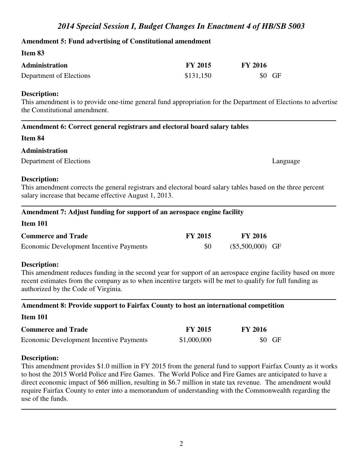#### **Amendment 5: Fund advertising of Constitutional amendment**

#### **Item 83**

| <b>Administration</b>   | <b>FY 2015</b> | <b>FY 2016</b> |
|-------------------------|----------------|----------------|
| Department of Elections | \$131,150      | \$0 GF         |

#### **Description:**

This amendment is to provide one-time general fund appropriation for the Department of Elections to advertise the Constitutional amendment.

### **Amendment 6: Correct general registrars and electoral board salary tables**

#### **Item 84**

### **Administration**

Department of Elections Language Language Language Language Language Language Language Language Language Language Language Language Language Language Language Language Language Language Language Language Language Language

#### **Description:**

**Item 101** 

This amendment corrects the general registrars and electoral board salary tables based on the three percent salary increase that became effective August 1, 2013.

### **Amendment 7: Adjust funding for support of an aerospace engine facility**

| тісін тут                               |                |                    |  |
|-----------------------------------------|----------------|--------------------|--|
| <b>Commerce and Trade</b>               | <b>FY 2015</b> | <b>FY 2016</b>     |  |
| Economic Development Incentive Payments | 80             | $(\$5,500,000)$ GF |  |

#### **Description:**

This amendment reduces funding in the second year for support of an aerospace engine facility based on more recent estimates from the company as to when incentive targets will be met to qualify for full funding as authorized by the Code of Virginia.

#### **Amendment 8: Provide support to Fairfax County to host an international competition**

#### **Item 101**

| <b>Commerce and Trade</b>               | <b>FY 2015</b> | <b>FY 2016</b> |
|-----------------------------------------|----------------|----------------|
| Economic Development Incentive Payments | \$1,000,000    | $$0$ GF        |

#### **Description:**

This amendment provides \$1.0 million in FY 2015 from the general fund to support Fairfax County as it works to host the 2015 World Police and Fire Games. The World Police and Fire Games are anticipated to have a direct economic impact of \$66 million, resulting in \$6.7 million in state tax revenue. The amendment would require Fairfax County to enter into a memorandum of understanding with the Commonwealth regarding the use of the funds.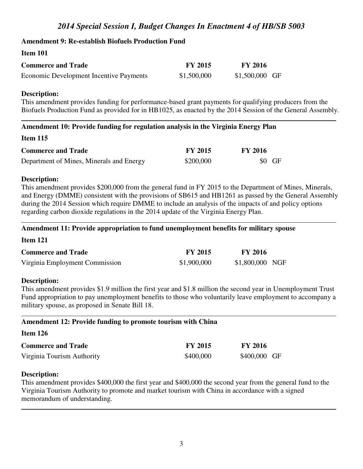### **Amendment 9: Re-establish Biofuels Production Fund**

#### **Item 101**

| <b>Commerce and Trade</b>               | <b>FY 2015</b> | <b>FY 2016</b>  |  |
|-----------------------------------------|----------------|-----------------|--|
| Economic Development Incentive Payments | \$1,500,000    | $$1,500,000$ GF |  |

#### **Description:**

This amendment provides funding for performance-based grant payments for qualifying producers from the Biofuels Production Fund as provided for in HB1025, as enacted by the 2014 Session of the General Assembly.

#### **Amendment 10: Provide funding for regulation analysis in the Virginia Energy Plan**

#### **Item 115**

| <b>Commerce and Trade</b>                | <b>FY 2015</b> | <b>FY 2016</b> |
|------------------------------------------|----------------|----------------|
| Department of Mines, Minerals and Energy | \$200,000      | $$0$ GF        |

#### **Description:**

This amendment provides \$200,000 from the general fund in FY 2015 to the Department of Mines, Minerals, and Energy (DMME) consistent with the provisions of SB615 and HB1261 as passed by the General Assembly during the 2014 Session which require DMME to include an analysis of the impacts of and policy options regarding carbon dioxide regulations in the 2014 update of the Virginia Energy Plan.

#### **Amendment 11: Provide appropriation to fund unemployment benefits for military spouse**

#### **Item 121**

| <b>Commerce and Trade</b>      | <b>FY 2015</b> | <b>FY 2016</b>  |  |
|--------------------------------|----------------|-----------------|--|
| Virginia Employment Commission | \$1,900,000    | \$1,800,000 NGF |  |

#### **Description:**

This amendment provides \$1.9 million the first year and \$1.8 million the second year in Unemployment Trust Fund appropriation to pay unemployment benefits to those who voluntarily leave employment to accompany a military spouse, as proposed in Senate Bill 18.

#### **Amendment 12: Provide funding to promote tourism with China**

| Item $126$                 |                |                |
|----------------------------|----------------|----------------|
| <b>Commerce and Trade</b>  | <b>FY 2015</b> | <b>FY 2016</b> |
| Virginia Tourism Authority | \$400,000      | \$400,000 GF   |

#### **Description:**

This amendment provides \$400,000 the first year and \$400,000 the second year from the general fund to the Virginia Tourism Authority to promote and market tourism with China in accordance with a signed memorandum of understanding.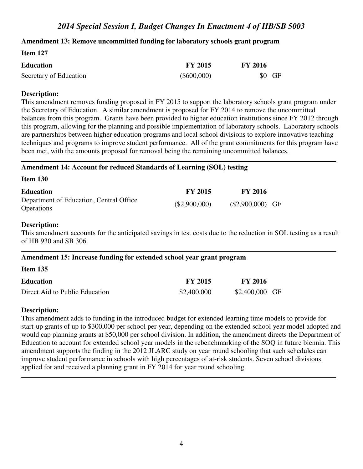#### **Amendment 13: Remove uncommitted funding for laboratory schools grant program**

| <b>Item 127</b>        |                |                |
|------------------------|----------------|----------------|
| <b>Education</b>       | <b>FY 2015</b> | <b>FY 2016</b> |
| Secretary of Education | $(\$600,000)$  | $$0$ GF        |

#### **Description:**

**Item 127** 

This amendment removes funding proposed in FY 2015 to support the laboratory schools grant program under the Secretary of Education. A similar amendment is proposed for FY 2014 to remove the uncommitted balances from this program. Grants have been provided to higher education institutions since FY 2012 through this program, allowing for the planning and possible implementation of laboratory schools. Laboratory schools are partnerships between higher education programs and local school divisions to explore innovative teaching techniques and programs to improve student performance. All of the grant commitments for this program have been met, with the amounts proposed for removal being the remaining uncommitted balances.

#### **Amendment 14: Account for reduced Standards of Learning (SOL) testing**

**Item 130** 

| <b>Education</b>                                             | <b>FY 2015</b> | <b>FY 2016</b>     |
|--------------------------------------------------------------|----------------|--------------------|
| Department of Education, Central Office<br><b>Operations</b> | (\$2,900,000)  | $(\$2,900,000)$ GF |

#### **Description:**

This amendment accounts for the anticipated savings in test costs due to the reduction in SOL testing as a result of HB 930 and SB 306.

#### **Amendment 15: Increase funding for extended school year grant program**

| Item 135 |  |  |
|----------|--|--|
|          |  |  |

| <b>Education</b>               | <b>FY 2015</b> | <b>FY 2016</b>  |
|--------------------------------|----------------|-----------------|
| Direct Aid to Public Education | \$2,400,000    | $$2,400,000$ GF |

#### **Description:**

This amendment adds to funding in the introduced budget for extended learning time models to provide for start-up grants of up to \$300,000 per school per year, depending on the extended school year model adopted and would cap planning grants at \$50,000 per school division. In addition, the amendment directs the Department of Education to account for extended school year models in the rebenchmarking of the SOQ in future biennia. This amendment supports the finding in the 2012 JLARC study on year round schooling that such schedules can improve student performance in schools with high percentages of at-risk students. Seven school divisions applied for and received a planning grant in FY 2014 for year round schooling.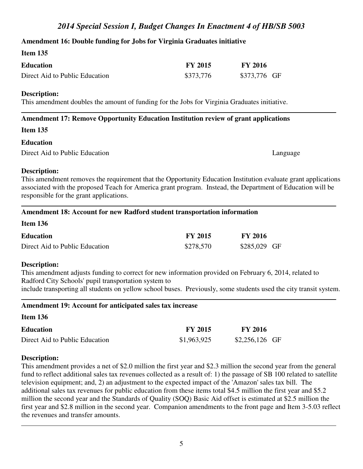## **Amendment 16: Double funding for Jobs for Virginia Graduates initiative**

### **Item 135**

| <b>Education</b>               | <b>FY 2015</b> | <b>FY 2016</b> |
|--------------------------------|----------------|----------------|
| Direct Aid to Public Education | \$373,776      | \$373,776 GF   |

#### **Description:**

This amendment doubles the amount of funding for the Jobs for Virginia Graduates initiative.

## **Amendment 17: Remove Opportunity Education Institution review of grant applications**

#### **Item 135**

#### **Education**

Direct Aid to Public Education Language Language

### **Description:**

This amendment removes the requirement that the Opportunity Education Institution evaluate grant applications associated with the proposed Teach for America grant program. Instead, the Department of Education will be responsible for the grant applications.

#### **Amendment 18: Account for new Radford student transportation information**

| <b>Item 136</b>                |                |                |
|--------------------------------|----------------|----------------|
| Education                      | <b>FY 2015</b> | <b>FY 2016</b> |
| Direct Aid to Public Education | \$278,570      | \$285,029 GF   |

#### **Description:**

This amendment adjusts funding to correct for new information provided on February 6, 2014, related to Radford City Schools' pupil transportation system to include transporting all students on yellow school buses. Previously, some students used the city transit system.

# **Amendment 19: Account for anticipated sales tax increase**

#### **Item 136**

| <b>Education</b>               | <b>FY 2015</b> | <b>FY 2016</b>  |
|--------------------------------|----------------|-----------------|
| Direct Aid to Public Education | \$1,963,925    | $$2,256,126$ GF |

#### **Description:**

This amendment provides a net of \$2.0 million the first year and \$2.3 million the second year from the general fund to reflect additional sales tax revenues collected as a result of: 1) the passage of SB 100 related to satellite television equipment; and, 2) an adjustment to the expected impact of the 'Amazon' sales tax bill. The additional sales tax revenues for public education from these items total \$4.5 million the first year and \$5.2 million the second year and the Standards of Quality (SOQ) Basic Aid offset is estimated at \$2.5 million the first year and \$2.8 million in the second year. Companion amendments to the front page and Item 3-5.03 reflect the revenues and transfer amounts.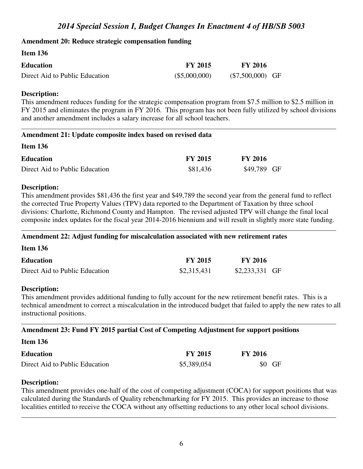## **Amendment 20: Reduce strategic compensation funding**

| <b>Item 150</b>                |                |                    |
|--------------------------------|----------------|--------------------|
| <b>Education</b>               | <b>FY 2015</b> | <b>FY 2016</b>     |
| Direct Aid to Public Education | (\$5,000,000)  | $(\$7,500,000)$ GF |

### **Description:**

**Item 136** 

This amendment reduces funding for the strategic compensation program from \$7.5 million to \$2.5 million in FY 2015 and eliminates the program in FY 2016. This program has not been fully utilized by school divisions and another amendment includes a salary increase for all school teachers.

### **Amendment 21: Update composite index based on revised data**

| лісін тәу                      |                |                |
|--------------------------------|----------------|----------------|
| <b>Education</b>               | <b>FY 2015</b> | <b>FY 2016</b> |
| Direct Aid to Public Education | \$81,436       | \$49,789 GF    |

### **Description:**

**Item 136** 

This amendment provides \$81,436 the first year and \$49,789 the second year from the general fund to reflect the corrected True Property Values (TPV) data reported to the Department of Taxation by three school divisions: Charlotte, Richmond County and Hampton. The revised adjusted TPV will change the final local composite index updates for the fiscal year 2014-2016 biennium and will result in slightly more state funding.

#### **Amendment 22: Adjust funding for miscalculation associated with new retirement rates**

**Item 136** 

| <b>Education</b>               | <b>FY 2015</b> | <b>FY 2016</b>  |  |
|--------------------------------|----------------|-----------------|--|
| Direct Aid to Public Education | \$2,315,431    | $$2,233,331$ GF |  |

## **Description:**

This amendment provides additional funding to fully account for the new retirement benefit rates. This is a technical amendment to correct a miscalculation in the introduced budget that failed to apply the new rates to all instructional positions.

#### **Amendment 23: Fund FY 2015 partial Cost of Competing Adjustment for support positions**

**Item 136** 

| <b>Education</b>               | <b>FY 2015</b> | <b>FY 2016</b> |
|--------------------------------|----------------|----------------|
| Direct Aid to Public Education | \$5,389,054    | $$0$ GF        |

#### **Description:**

This amendment provides one-half of the cost of competing adjustment (COCA) for support positions that was calculated during the Standards of Quality rebenchmarking for FY 2015. This provides an increase to those localities entitled to receive the COCA without any offsetting reductions to any other local school divisions.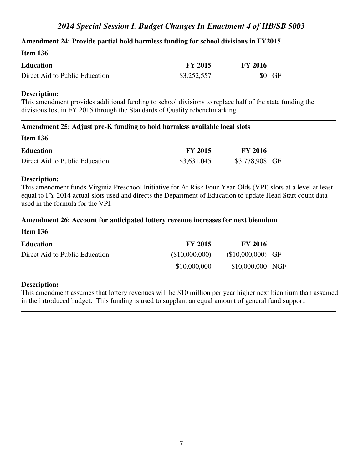## **Amendment 24: Provide partial hold harmless funding for school divisions in FY2015**

| Item $136$                     |                |                |
|--------------------------------|----------------|----------------|
| <b>Education</b>               | <b>FY 2015</b> | <b>FY 2016</b> |
| Direct Aid to Public Education | \$3,252,557    | $$0$ GF        |

#### **Description:**

This amendment provides additional funding to school divisions to replace half of the state funding the divisions lost in FY 2015 through the Standards of Quality rebenchmarking.

#### **Amendment 25: Adjust pre-K funding to hold harmless available local slots**

#### **Item 136**

| <b>Education</b>               | <b>FY 2015</b> | <b>FY 2016</b> |  |
|--------------------------------|----------------|----------------|--|
| Direct Aid to Public Education | \$3,631,045    | \$3,778,908 GF |  |

#### **Description:**

This amendment funds Virginia Preschool Initiative for At-Risk Four-Year-Olds (VPI) slots at a level at least equal to FY 2014 actual slots used and directs the Department of Education to update Head Start count data used in the formula for the VPI.

#### **Amendment 26: Account for anticipated lottery revenue increases for next biennium**

| <b>Education</b>               | <b>FY 2015</b> | <b>FY 2016</b>     |  |
|--------------------------------|----------------|--------------------|--|
| Direct Aid to Public Education | (\$10,000,000) | $($10,000,000)$ GF |  |
|                                | \$10,000,000   | \$10,000,000 NGF   |  |

#### **Description:**

This amendment assumes that lottery revenues will be \$10 million per year higher next biennium than assumed in the introduced budget. This funding is used to supplant an equal amount of general fund support.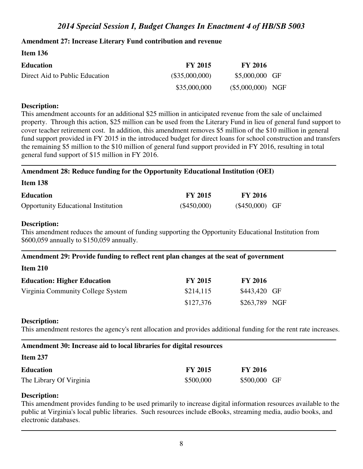## **Amendment 27: Increase Literary Fund contribution and revenue**

| <b>Item 136</b>                |                |                     |  |
|--------------------------------|----------------|---------------------|--|
| <b>Education</b>               | <b>FY 2015</b> | <b>FY 2016</b>      |  |
| Direct Aid to Public Education | (\$35,000,000) | \$5,000,000 GF      |  |
|                                | \$35,000,000   | $(\$5,000,000)$ NGF |  |

### **Description:**

This amendment accounts for an additional \$25 million in anticipated revenue from the sale of unclaimed property. Through this action, \$25 million can be used from the Literary Fund in lieu of general fund support to cover teacher retirement cost. In addition, this amendment removes \$5 million of the \$10 million in general fund support provided in FY 2015 in the introduced budget for direct loans for school construction and transfers the remaining \$5 million to the \$10 million of general fund support provided in FY 2016, resulting in total general fund support of \$15 million in FY 2016.

### **Amendment 28: Reduce funding for the Opportunity Educational Institution (OEI)**

| Item 138 |  |
|----------|--|
|          |  |

| <b>Education</b>                           | <b>FY 2015</b> | <b>FY 2016</b>   |
|--------------------------------------------|----------------|------------------|
| <b>Opportunity Educational Institution</b> | $(\$450,000)$  | $(\$450,000)$ GF |

### **Description:**

**Item 210** 

This amendment reduces the amount of funding supporting the Opportunity Educational Institution from \$600,059 annually to \$150,059 annually.

#### **Amendment 29: Provide funding to reflect rent plan changes at the seat of government**

| Tiem 210                           |                |                |
|------------------------------------|----------------|----------------|
| <b>Education: Higher Education</b> | <b>FY 2015</b> | <b>FY 2016</b> |
| Virginia Community College System  | \$214,115      | \$443,420 GF   |
|                                    | \$127,376      | \$263,789 NGF  |

## **Description:**

This amendment restores the agency's rent allocation and provides additional funding for the rent rate increases.

## **Amendment 30: Increase aid to local libraries for digital resources**

| <b>Item 237</b>         |                |                |
|-------------------------|----------------|----------------|
| <b>Education</b>        | <b>FY 2015</b> | <b>FY 2016</b> |
| The Library Of Virginia | \$500,000      | \$500,000 GF   |

# **Description:**

This amendment provides funding to be used primarily to increase digital information resources available to the public at Virginia's local public libraries. Such resources include eBooks, streaming media, audio books, and electronic databases.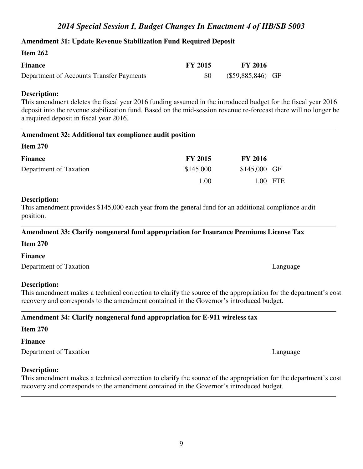#### **Amendment 31: Update Revenue Stabilization Fund Required Deposit**

| Item $262$                               |                |                     |  |
|------------------------------------------|----------------|---------------------|--|
| <b>Finance</b>                           | <b>FY 2015</b> | <b>FY 2016</b>      |  |
| Department of Accounts Transfer Payments | -80            | $(\$59,885,846)$ GF |  |

#### **Description:**

This amendment deletes the fiscal year 2016 funding assumed in the introduced budget for the fiscal year 2016 deposit into the revenue stabilization fund. Based on the mid-session revenue re-forecast there will no longer be a required deposit in fiscal year 2016.

#### **Amendment 32: Additional tax compliance audit position**

| Item $270$             |                |                |          |
|------------------------|----------------|----------------|----------|
| <b>Finance</b>         | <b>FY 2015</b> | <b>FY 2016</b> |          |
| Department of Taxation | \$145,000      | $$145,000$ GF  |          |
|                        | 1.00           |                | 1.00 FTE |

#### **Description:**

This amendment provides \$145,000 each year from the general fund for an additional compliance audit position.

#### **Amendment 33: Clarify nongeneral fund appropriation for Insurance Premiums License Tax**

#### **Item 270**

**Finance**

Department of Taxation Language

#### **Description:**

This amendment makes a technical correction to clarify the source of the appropriation for the department's cost recovery and corresponds to the amendment contained in the Governor's introduced budget.

## **Amendment 34: Clarify nongeneral fund appropriation for E-911 wireless tax**

#### **Item 270**

#### **Finance**

Department of Taxation Language

#### **Description:**

This amendment makes a technical correction to clarify the source of the appropriation for the department's cost recovery and corresponds to the amendment contained in the Governor's introduced budget.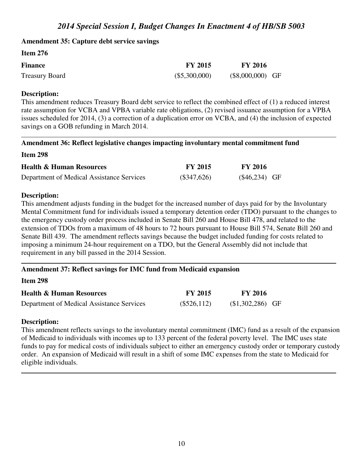#### **Amendment 35: Capture debt service savings**

| <b>Item 276</b> |                |                    |  |
|-----------------|----------------|--------------------|--|
| <b>Finance</b>  | <b>FY 2015</b> | <b>FY 2016</b>     |  |
| Treasury Board  | (\$5,300,000)  | $(\$8,000,000)$ GF |  |

#### **Description:**

This amendment reduces Treasury Board debt service to reflect the combined effect of (1) a reduced interest rate assumption for VCBA and VPBA variable rate obligations, (2) revised issuance assumption for a VPBA issues scheduled for 2014, (3) a correction of a duplication error on VCBA, and (4) the inclusion of expected savings on a GOB refunding in March 2014.

#### **Amendment 36: Reflect legislative changes impacting involuntary mental commitment fund**

**Item 298** 

| <b>Health &amp; Human Resources</b>       | <b>FY 2015</b> | <b>FY 2016</b> |
|-------------------------------------------|----------------|----------------|
| Department of Medical Assistance Services | $(\$347,626)$  | $($46,234)$ GF |

#### **Description:**

This amendment adjusts funding in the budget for the increased number of days paid for by the Involuntary Mental Commitment fund for individuals issued a temporary detention order (TDO) pursuant to the changes to the emergency custody order process included in Senate Bill 260 and House Bill 478, and related to the extension of TDOs from a maximum of 48 hours to 72 hours pursuant to House Bill 574, Senate Bill 260 and Senate Bill 439. The amendment reflects savings because the budget included funding for costs related to imposing a minimum 24-hour requirement on a TDO, but the General Assembly did not include that requirement in any bill passed in the 2014 Session.

## **Amendment 37: Reflect savings for IMC fund from Medicaid expansion**

**Item 298** 

| <b>Health &amp; Human Resources</b>       | <b>FY 2015</b> | <b>FY 2016</b>    |  |
|-------------------------------------------|----------------|-------------------|--|
| Department of Medical Assistance Services | (\$526,112)    | $($1,302,286)$ GF |  |

#### **Description:**

This amendment reflects savings to the involuntary mental commitment (IMC) fund as a result of the expansion of Medicaid to individuals with incomes up to 133 percent of the federal poverty level. The IMC uses state funds to pay for medical costs of individuals subject to either an emergency custody order or temporary custody order. An expansion of Medicaid will result in a shift of some IMC expenses from the state to Medicaid for eligible individuals.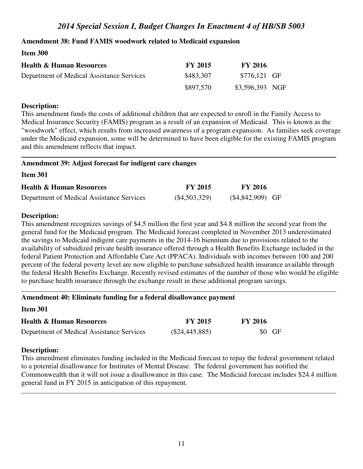## **Amendment 38: Fund FAMIS woodwork related to Medicaid expansion**

### **Item 300**

| <b>Health &amp; Human Resources</b>       | <b>FY 2015</b> | <b>FY 2016</b>  |  |
|-------------------------------------------|----------------|-----------------|--|
| Department of Medical Assistance Services | \$483,307      | \$776,121 GF    |  |
|                                           | \$897,570      | \$3,596,393 NGF |  |

## **Description:**

This amendment funds the costs of additional children that are expected to enroll in the Family Access to Medical Insurance Security (FAMIS) program as a result of an expansion of Medicaid. This is known as the "woodwork" effect, which results from increased awareness of a program expansion. As families seek coverage under the Medicaid expansion, some will be determined to have been eligible for the existing FAMIS program and this amendment reflects that impact.

### **Amendment 39: Adjust forecast for indigent care changes**

#### **Item 301**

| <b>Health &amp; Human Resources</b>       | <b>FY 2015</b>  | <b>FY 2016</b>     |
|-------------------------------------------|-----------------|--------------------|
| Department of Medical Assistance Services | $(\$4,503,329)$ | $(\$4,842,909)$ GF |

### **Description:**

This amendment recognizes savings of \$4.5 million the first year and \$4.8 million the second year from the general fund for the Medicaid program. The Medicaid forecast completed in November 2013 underestimated the savings to Medicaid indigent care payments in the 2014-16 biennium due to provisions related to the availability of subsidized private health insurance offered through a Health Benefits Exchange included in the federal Patient Protection and Affordable Care Act (PPACA). Individuals with incomes between 100 and 200 percent of the federal poverty level are now eligible to purchase subsidized health insurance available through the federal Health Benefits Exchange. Recently revised estimates of the number of those who would be eligible to purchase health insurance through the exchange result in these additional program savings.

## **Amendment 40: Eliminate funding for a federal disallowance payment**

| Item 301                                  |                  |                |
|-------------------------------------------|------------------|----------------|
| <b>Health &amp; Human Resources</b>       | <b>FY 2015</b>   | <b>FY 2016</b> |
| Department of Medical Assistance Services | $(\$24,445,885)$ | \$0 GF         |

## **Description:**

This amendment eliminates funding included in the Medicaid forecast to repay the federal government related to a potential disallowance for Institutes of Mental Disease. The federal government has notified the Commonwealth that it will not issue a disallowance in this case. The Medicaid forecast includes \$24.4 million general fund in FY 2015 in anticipation of this repayment.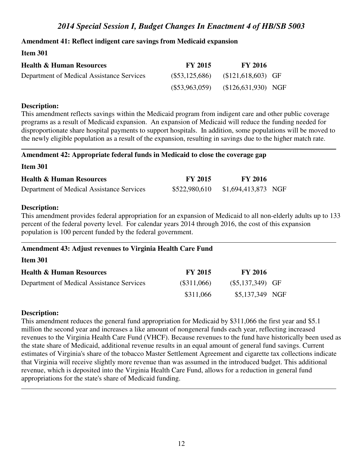## **Amendment 41: Reflect indigent care savings from Medicaid expansion**

### **Item 301**

| <b>Health &amp; Human Resources</b>       | <b>FY 2015</b>   | <b>FY 2016</b>       |  |
|-------------------------------------------|------------------|----------------------|--|
| Department of Medical Assistance Services | $(\$53,125,686)$ | $($121,618,603)$ GF  |  |
|                                           | $(\$53,963,059)$ | $($126,631,930)$ NGF |  |

#### **Description:**

This amendment reflects savings within the Medicaid program from indigent care and other public coverage programs as a result of Medicaid expansion. An expansion of Medicaid will reduce the funding needed for disproportionate share hospital payments to support hospitals. In addition, some populations will be moved to the newly eligible population as a result of the expansion, resulting in savings due to the higher match rate.

#### **Amendment 42: Appropriate federal funds in Medicaid to close the coverage gap**

| <b>Health &amp; Human Resources</b>       | <b>FY 2015</b> | <b>FY 2016</b>      |
|-------------------------------------------|----------------|---------------------|
| Department of Medical Assistance Services | \$522,980,610  | \$1,694,413,873 NGF |

### **Description:**

**Item 301** 

This amendment provides federal appropriation for an expansion of Medicaid to all non-elderly adults up to 133 percent of the federal poverty level. For calendar years 2014 through 2016, the cost of this expansion population is 100 percent funded by the federal government.

## **Amendment 43: Adjust revenues to Virginia Health Care Fund**

**Item 301** 

| <b>Health &amp; Human Resources</b>       | <b>FY 2015</b> | <b>FY 2016</b>     |  |
|-------------------------------------------|----------------|--------------------|--|
| Department of Medical Assistance Services | (\$311,066)    | $(\$5,137,349)$ GF |  |
|                                           | \$311,066      | \$5,137,349 NGF    |  |

## **Description:**

This amendment reduces the general fund appropriation for Medicaid by \$311,066 the first year and \$5.1 million the second year and increases a like amount of nongeneral funds each year, reflecting increased revenues to the Virginia Health Care Fund (VHCF). Because revenues to the fund have historically been used as the state share of Medicaid, additional revenue results in an equal amount of general fund savings. Current estimates of Virginia's share of the tobacco Master Settlement Agreement and cigarette tax collections indicate that Virginia will receive slightly more revenue than was assumed in the introduced budget. This additional revenue, which is deposited into the Virginia Health Care Fund, allows for a reduction in general fund appropriations for the state's share of Medicaid funding.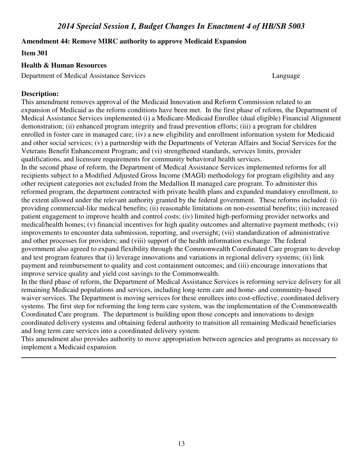### **Amendment 44: Remove MIRC authority to approve Medicaid Expansion**

#### **Item 301**

### **Health & Human Resources**

Department of Medical Assistance Services Language

## **Description:**

This amendment removes approval of the Medicaid Innovation and Reform Commission related to an expansion of Medicaid as the reform conditions have been met. In the first phase of reform, the Department of Medical Assistance Services implemented (i) a Medicare-Medicaid Enrollee (dual eligible) Financial Alignment demonstration; (ii) enhanced program integrity and fraud prevention efforts; (iii) a program for children enrolled in foster care in managed care; (iv) a new eligibility and enrollment information system for Medicaid and other social services; (v) a partnership with the Departments of Veteran Affairs and Social Services for the Veterans Benefit Enhancement Program; and (vi) strengthened standards, services limits, provider qualifications, and licensure requirements for community behavioral health services.

In the second phase of reform, the Department of Medical Assistance Services implemented reforms for all recipients subject to a Modified Adjusted Gross Income (MAGI) methodology for program eligibility and any other recipient categories not excluded from the Medallion II managed care program. To administer this reformed program, the department contracted with private health plans and expanded mandatory enrollment, to the extent allowed under the relevant authority granted by the federal government. These reforms included: (i) providing commercial-like medical benefits; (ii) reasonable limitations on non-essential benefits; (iii) increased patient engagement to improve health and control costs; (iv) limited high-performing provider networks and medical/health homes; (v) financial incentives for high quality outcomes and alternative payment methods; (vi) improvements to encounter data submission, reporting, and oversight; (vii) standardization of administrative and other processes for providers; and (viii) support of the health information exchange. The federal government also agreed to expand flexibility through the Commonwealth Coordinated Care program to develop and test program features that (i) leverage innovations and variations in regional delivery systems; (ii) link payment and reimbursement to quality and cost containment outcomes; and (iii) encourage innovations that improve service quality and yield cost savings to the Commonwealth.

In the third phase of reform, the Department of Medical Assistance Services is reforming service delivery for all remaining Medicaid populations and services, including long-term care and home- and community-based waiver services. The Department is moving services for these enrollees into cost-effective, coordinated delivery systems. The first step for reforming the long term care system, was the implementation of the Commonwealth Coordinated Care program. The department is building upon those concepts and innovations to design coordinated delivery systems and obtaining federal authority to transition all remaining Medicaid beneficiaries and long term care services into a coordinated delivery system.

This amendment also provides authority to move appropriation between agencies and programs as necessary to implement a Medicaid expansion.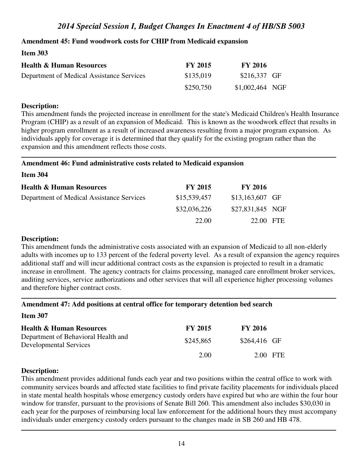## **Amendment 45: Fund woodwork costs for CHIP from Medicaid expansion**

### **Item 303**

| <b>Health &amp; Human Resources</b>       | <b>FY 2015</b> | <b>FY 2016</b>   |  |
|-------------------------------------------|----------------|------------------|--|
| Department of Medical Assistance Services | \$135,019      | $$216,337$ GF    |  |
|                                           | \$250,750      | $$1,002,464$ NGF |  |

## **Description:**

This amendment funds the projected increase in enrollment for the state's Medicaid Children's Health Insurance Program (CHIP) as a result of an expansion of Medicaid. This is known as the woodwork effect that results in higher program enrollment as a result of increased awareness resulting from a major program expansion. As individuals apply for coverage it is determined that they qualify for the existing program rather than the expansion and this amendment reflects those costs.

### **Amendment 46: Fund administrative costs related to Medicaid expansion**

**Item 304** 

| <b>Health &amp; Human Resources</b>       | <b>FY 2015</b> | <b>FY 2016</b>   |  |
|-------------------------------------------|----------------|------------------|--|
| Department of Medical Assistance Services | \$15,539,457   | $$13,163,607$ GF |  |
|                                           | \$32,036,226   | \$27,831,845 NGF |  |
|                                           | 22.00          | 22.00 FTE        |  |

## **Description:**

This amendment funds the administrative costs associated with an expansion of Medicaid to all non-elderly adults with incomes up to 133 percent of the federal poverty level. As a result of expansion the agency requires additional staff and will incur additional contract costs as the expansion is projected to result in a dramatic increase in enrollment. The agency contracts for claims processing, managed care enrollment broker services, auditing services, service authorizations and other services that will all experience higher processing volumes and therefore higher contract costs.

## **Amendment 47: Add positions at central office for temporary detention bed search**

**Item 307** 

| <b>Health &amp; Human Resources</b>                                  | <b>FY 2015</b> | <b>FY 2016</b> |          |
|----------------------------------------------------------------------|----------------|----------------|----------|
| Department of Behavioral Health and<br><b>Developmental Services</b> | \$245,865      | \$264,416 GF   |          |
|                                                                      | 2.00           |                | 2.00 FTE |

## **Description:**

This amendment provides additional funds each year and two positions within the central office to work with community services boards and affected state facilities to find private facility placements for individuals placed in state mental health hospitals whose emergency custody orders have expired but who are within the four hour window for transfer, pursuant to the provisions of Senate Bill 260. This amendment also includes \$30,030 in each year for the purposes of reimbursing local law enforcement for the additional hours they must accompany individuals under emergency custody orders pursuant to the changes made in SB 260 and HB 478.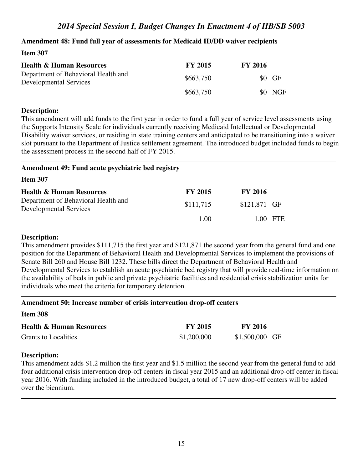## **Amendment 48: Fund full year of assessments for Medicaid ID/DD waiver recipients**

#### **Item 307**

| <b>Health &amp; Human Resources</b>                                  | <b>FY 2015</b> | <b>FY 2016</b> |
|----------------------------------------------------------------------|----------------|----------------|
| Department of Behavioral Health and<br><b>Developmental Services</b> | \$663,750      | \$0 GF         |
|                                                                      | \$663,750      | \$0 NGF        |

#### **Description:**

This amendment will add funds to the first year in order to fund a full year of service level assessments using the Supports Intensity Scale for individuals currently receiving Medicaid Intellectual or Developmental Disability waiver services, or residing in state training centers and anticipated to be transitioning into a waiver slot pursuant to the Department of Justice settlement agreement. The introduced budget included funds to begin the assessment process in the second half of FY 2015.

## **Amendment 49: Fund acute psychiatric bed registry**

**Item 307** 

| <b>Health &amp; Human Resources</b>                                  | <b>FY 2015</b> | <b>FY 2016</b> |          |
|----------------------------------------------------------------------|----------------|----------------|----------|
| Department of Behavioral Health and<br><b>Developmental Services</b> | \$111,715      | \$121,871 GF   |          |
|                                                                      | 1.00           |                | 1.00 FTE |

#### **Description:**

This amendment provides \$111,715 the first year and \$121,871 the second year from the general fund and one position for the Department of Behavioral Health and Developmental Services to implement the provisions of Senate Bill 260 and House Bill 1232. These bills direct the Department of Behavioral Health and Developmental Services to establish an acute psychiatric bed registry that will provide real-time information on the availability of beds in public and private psychiatric facilities and residential crisis stabilization units for individuals who meet the criteria for temporary detention.

#### **Amendment 50: Increase number of crisis intervention drop-off centers**

**Item 308** 

| <b>Health &amp; Human Resources</b> | <b>FY 2015</b> | <b>FY 2016</b>  |  |
|-------------------------------------|----------------|-----------------|--|
| Grants to Localities                | \$1,200,000    | $$1,500,000$ GF |  |

## **Description:**

This amendment adds \$1.2 million the first year and \$1.5 million the second year from the general fund to add four additional crisis intervention drop-off centers in fiscal year 2015 and an additional drop-off center in fiscal year 2016. With funding included in the introduced budget, a total of 17 new drop-off centers will be added over the biennium.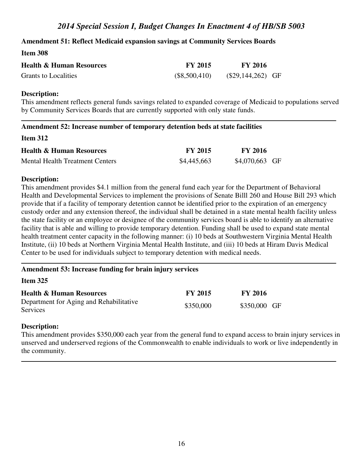## **Amendment 51: Reflect Medicaid expansion savings at Community Services Boards**

#### **Item 308**

| <b>Health &amp; Human Resources</b> | <b>FY 2015</b> | <b>FY 2016</b>      |
|-------------------------------------|----------------|---------------------|
| Grants to Localities                | (\$8,500,410)  | $(\$29,144,262)$ GF |

#### **Description:**

This amendment reflects general funds savings related to expanded coverage of Medicaid to populations served by Community Services Boards that are currently supported with only state funds.

#### **Amendment 52: Increase number of temporary detention beds at state facilities**

#### **Item 312**

| <b>Health &amp; Human Resources</b> | <b>FY 2015</b> | <b>FY 2016</b>  |  |
|-------------------------------------|----------------|-----------------|--|
| Mental Health Treatment Centers     | \$4,445,663    | $$4,070,663$ GF |  |

#### **Description:**

This amendment provides \$4.1 million from the general fund each year for the Department of Behavioral Health and Developmental Services to implement the provisions of Senate Billl 260 and House Bill 293 which provide that if a facility of temporary detention cannot be identified prior to the expiration of an emergency custody order and any extension thereof, the individual shall be detained in a state mental health facility unless the state facility or an employee or designee of the community services board is able to identify an alternative facility that is able and willing to provide temporary detention. Funding shall be used to expand state mental health treatment center capacity in the following manner: (i) 10 beds at Southwestern Virginia Mental Health Institute, (ii) 10 beds at Northern Virginia Mental Health Institute, and (iii) 10 beds at Hiram Davis Medical Center to be used for individuals subject to temporary detention with medical needs.

## **Amendment 53: Increase funding for brain injury services**

#### **Item 325**

| <b>Health &amp; Human Resources</b>                        | <b>FY 2015</b> | <b>FY 2016</b> |
|------------------------------------------------------------|----------------|----------------|
| Department for Aging and Rehabilitative<br><b>Services</b> | \$350,000      | \$350,000 GF   |

#### **Description:**

This amendment provides \$350,000 each year from the general fund to expand access to brain injury services in unserved and underserved regions of the Commonwealth to enable individuals to work or live independently in the community.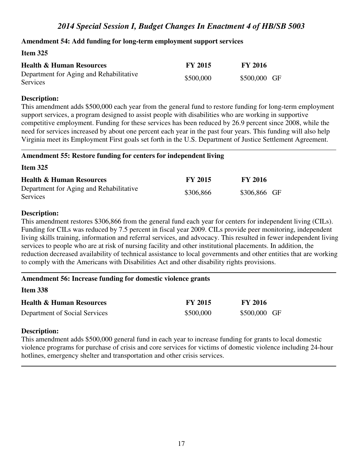### **Amendment 54: Add funding for long-term employment support services**

### **Item 325**

| <b>Health &amp; Human Resources</b>                        | <b>FY 2015</b> | <b>FY 2016</b> |
|------------------------------------------------------------|----------------|----------------|
| Department for Aging and Rehabilitative<br><b>Services</b> | \$500,000      | \$500,000 GF   |

#### **Description:**

This amendment adds \$500,000 each year from the general fund to restore funding for long-term employment support services, a program designed to assist people with disabilities who are working in supportive competitive employment. Funding for these services has been reduced by 26.9 percent since 2008, while the need for services increased by about one percent each year in the past four years. This funding will also help Virginia meet its Employment First goals set forth in the U.S. Department of Justice Settlement Agreement.

#### **Amendment 55: Restore funding for centers for independent living**

#### **Item 325**

| <b>Health &amp; Human Resources</b>                 | <b>FY 2015</b> | <b>FY 2016</b> |
|-----------------------------------------------------|----------------|----------------|
| Department for Aging and Rehabilitative<br>Services | \$306,866      | \$306,866 GF   |

#### **Description:**

This amendment restores \$306,866 from the general fund each year for centers for independent living (CILs). Funding for CILs was reduced by 7.5 percent in fiscal year 2009. CILs provide peer monitoring, independent living skills training, information and referral services, and advocacy. This resulted in fewer independent living services to people who are at risk of nursing facility and other institutional placements. In addition, the reduction decreased availability of technical assistance to local governments and other entities that are working to comply with the Americans with Disabilities Act and other disability rights provisions.

| <b>Item 338</b>                     |                |                |
|-------------------------------------|----------------|----------------|
| <b>Health &amp; Human Resources</b> | <b>FY 2015</b> | <b>FY 2016</b> |
| Department of Social Services       | \$500,000      | \$500,000 GF   |

#### **Description:**

This amendment adds \$500,000 general fund in each year to increase funding for grants to local domestic violence programs for purchase of crisis and core services for victims of domestic violence including 24-hour hotlines, emergency shelter and transportation and other crisis services.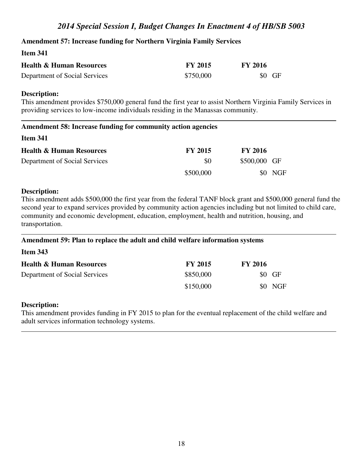## **Amendment 57: Increase funding for Northern Virginia Family Services**

## **Item 341**

| <b>Health &amp; Human Resources</b> | <b>FY 2015</b> | <b>FY 2016</b> |
|-------------------------------------|----------------|----------------|
| Department of Social Services       | \$750,000      | $$0$ GF        |

#### **Description:**

This amendment provides \$750,000 general fund the first year to assist Northern Virginia Family Services in providing services to low-income individuals residing in the Manassas community.

| Amendment 58: Increase funding for community action agencies |                |                |            |
|--------------------------------------------------------------|----------------|----------------|------------|
| <b>Item 341</b>                                              |                |                |            |
| <b>Health &amp; Human Resources</b>                          | <b>FY 2015</b> | <b>FY 2016</b> |            |
| Department of Social Services                                | \$0            | \$500,000 GF   |            |
|                                                              | \$500,000      |                | <b>NGF</b> |

#### **Description:**

This amendment adds \$500,000 the first year from the federal TANF block grant and \$500,000 general fund the second year to expand services provided by community action agencies including but not limited to child care, community and economic development, education, employment, health and nutrition, housing, and transportation.

#### **Amendment 59: Plan to replace the adult and child welfare information systems**

| <b>Item 343</b>                     |                |                |  |
|-------------------------------------|----------------|----------------|--|
| <b>Health &amp; Human Resources</b> | <b>FY 2015</b> | <b>FY 2016</b> |  |
| Department of Social Services       | \$850,000      | $$0$ GF        |  |
|                                     | \$150,000      | \$0 NGF        |  |

#### **Description:**

This amendment provides funding in FY 2015 to plan for the eventual replacement of the child welfare and adult services information technology systems.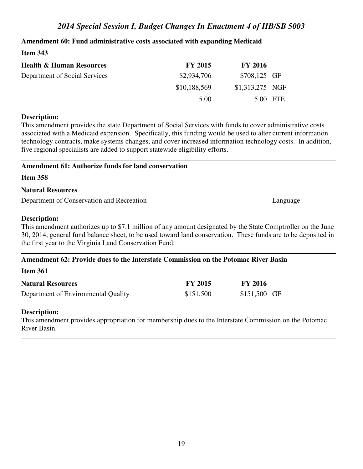### **Amendment 60: Fund administrative costs associated with expanding Medicaid**

| Item $343$                                                           |                |                  |            |
|----------------------------------------------------------------------|----------------|------------------|------------|
| <b>Health &amp; Human Resources</b>                                  | <b>FY 2015</b> | <b>FY 2016</b>   |            |
| \$2,934,706<br>Department of Social Services<br>\$10,188,569<br>5.00 | \$708,125 GF   |                  |            |
|                                                                      |                | $$1,313,275$ NGF |            |
|                                                                      |                | 5.00             | <b>FTE</b> |

#### **Description:**

This amendment provides the state Department of Social Services with funds to cover administrative costs associated with a Medicaid expansion. Specifically, this funding would be used to alter current information technology contracts, make systems changes, and cover increased information technology costs. In addition, five regional specialists are added to support statewide eligibility efforts.

#### **Amendment 61: Authorize funds for land conservation**

**Item 358** 

#### **Natural Resources**

Department of Conservation and Recreation Language Language

#### **Description:**

This amendment authorizes up to \$7.1 million of any amount designated by the State Comptroller on the June 30, 2014, general fund balance sheet, to be used toward land conservation. These funds are to be deposited in the first year to the Virginia Land Conservation Fund.

#### **Amendment 62: Provide dues to the Interstate Commission on the Potomac River Basin**

| Item 361 |  |
|----------|--|
|          |  |

| <b>Natural Resources</b>            | <b>FY 2015</b> | <b>FY 2016</b> |  |
|-------------------------------------|----------------|----------------|--|
| Department of Environmental Quality | \$151,500      | $$151,500$ GF  |  |

#### **Description:**

This amendment provides appropriation for membership dues to the Interstate Commission on the Potomac River Basin.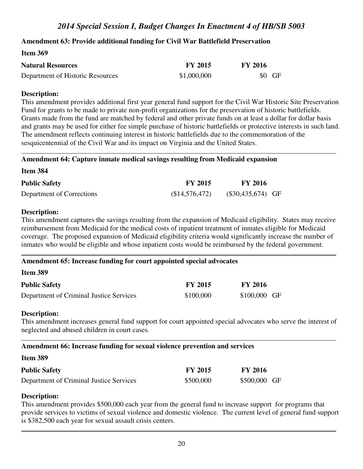## **Amendment 63: Provide additional funding for Civil War Battlefield Preservation**

#### **Item 369**

| <b>Natural Resources</b>         | <b>FY 2015</b> | <b>FY 2016</b> |
|----------------------------------|----------------|----------------|
| Department of Historic Resources | \$1,000,000    | $$0$ GF        |

#### **Description:**

This amendment provides additional first year general fund support for the Civil War Historic Site Preservation Fund for grants to be made to private non-profit organizations for the preservation of historic battlefields. Grants made from the fund are matched by federal and other private funds on at least a dollar for dollar basis and grants may be used for either fee simple purchase of historic battlefields or protective interests in such land. The amendment reflects continuing interest in historic battlefields due to the commemoration of the sesquicentennial of the Civil War and its impact on Virginia and the United States.

#### **Amendment 64: Capture inmate medical savings resulting from Medicaid expansion**

**Item 384** 

| <b>Public Safety</b>      | <b>FY 2015</b> | <b>FY 2016</b>      |  |
|---------------------------|----------------|---------------------|--|
| Department of Corrections | \$14,576,472   | $(\$30,435,674)$ GF |  |

#### **Description:**

This amendment captures the savings resulting from the expansion of Medicaid eligibility. States may receive reimbursement from Medicaid for the medical costs of inpatient treatment of inmates eligible for Medicaid coverage. The proposed expansion of Medicaid eligibility criteria would significantly increase the number of inmates who would be eligible and whose inpatient costs would be reimbursed by the federal government.

## **Amendment 65: Increase funding for court appointed special advocates**

| <b>Item 389</b> |  |
|-----------------|--|
|                 |  |

| <b>Public Safety</b>                    | <b>FY 2015</b> | <b>FY 2016</b> |
|-----------------------------------------|----------------|----------------|
| Department of Criminal Justice Services | \$100,000      | \$100,000 GF   |

#### **Description:**

This amendment increases general fund support for court appointed special advocates who serve the interest of neglected and abused children in court cases.

## **Amendment 66: Increase funding for sexual violence prevention and services**

| Item 389             |  |  |
|----------------------|--|--|
| <b>Public Safety</b> |  |  |

| <b>Public Safety</b>                    | <b>FY 2015</b> | <b>FY 2016</b> |  |
|-----------------------------------------|----------------|----------------|--|
| Department of Criminal Justice Services | \$500,000      | \$500,000 GF   |  |

#### **Description:**

This amendment provides \$500,000 each year from the general fund to increase support for programs that provide services to victims of sexual violence and domestic violence. The current level of general fund support is \$382,500 each year for sexual assault crisis centers.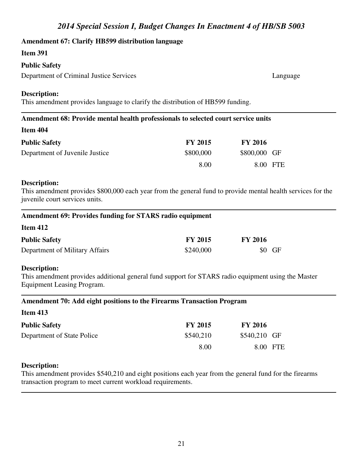#### **Amendment 67: Clarify HB599 distribution language**

#### **Item 391**

#### **Public Safety**

Department of Criminal Justice Services Language

#### **Description:**

This amendment provides language to clarify the distribution of HB599 funding.

| Amendment 68: Provide mental health professionals to selected court service units |                |                |
|-----------------------------------------------------------------------------------|----------------|----------------|
| Item 404                                                                          |                |                |
| <b>Public Safety</b>                                                              | <b>FY 2015</b> | <b>FY 2016</b> |
| Department of Juvenile Justice                                                    | \$800,000      | \$800,000 GF   |
|                                                                                   | 8.00           | 8.00 FTE       |

#### **Description:**

This amendment provides \$800,000 each year from the general fund to provide mental health services for the juvenile court services units.

### **Amendment 69: Provides funding for STARS radio equipment**

#### **Item 412**

| <b>Public Safety</b>           | <b>FY 2015</b> | <b>FY 2016</b> |
|--------------------------------|----------------|----------------|
| Department of Military Affairs | \$240,000      | $$0$ GF        |

#### **Description:**

This amendment provides additional general fund support for STARS radio equipment using the Master Equipment Leasing Program.

#### **Amendment 70: Add eight positions to the Firearms Transaction Program**

| <b>Item 413</b> |  |
|-----------------|--|
|-----------------|--|

| <b>Public Safety</b>       | <b>FY 2015</b> | <b>FY 2016</b> |  |
|----------------------------|----------------|----------------|--|
| Department of State Police | \$540,210      | \$540,210 GF   |  |
|                            | 8.00           | 8.00 FTE       |  |

### **Description:**

This amendment provides \$540,210 and eight positions each year from the general fund for the firearms transaction program to meet current workload requirements.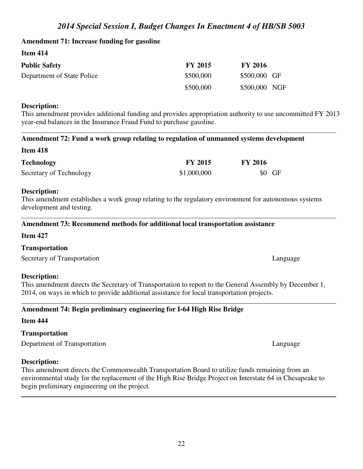# **Amendment 71: Increase funding for gasoline**

**Item 414** 

| <b>Public Safety</b>       | <b>FY 2015</b> | <b>FY 2016</b> |  |
|----------------------------|----------------|----------------|--|
| Department of State Police | \$500,000      | \$500,000 GF   |  |
|                            | \$500,000      | \$500,000 NGF  |  |

# **Description:**

This amendment provides additional funding and provides appropriation authority to use uncommitted FY 2013 year-end balances in the Insurance Fraud Fund to purchase gasoline.

# **Amendment 72: Fund a work group relating to regulation of unmanned systems development**

# **Item 418**

| <b>Technology</b>       | <b>FY 2015</b> | <b>FY 2016</b> |
|-------------------------|----------------|----------------|
| Secretary of Technology | \$1,000,000    | $$0$ GF        |

# **Description:**

This amendment establishes a work group relating to the regulatory environment for autonomous systems development and testing.

# **Amendment 73: Recommend methods for additional local transportation assistance**

## **Item 427**

# **Transportation**

Secretary of Transportation Language Language Language

# **Description:**

This amendment directs the Secretary of Transportation to report to the General Assembly by December 1, 2014, on ways in which to provide additional assistance for local transportation projects.

# **Amendment 74: Begin preliminary engineering for I-64 High Rise Bridge**

# **Item 444**

# **Transportation**

Department of Transportation Language

# **Description:**

This amendment directs the Commonwealth Transportation Board to utilize funds remaining from an environmental study for the replacement of the High Rise Bridge Project on Interstate 64 in Chesapeake to begin preliminary engineering on the project.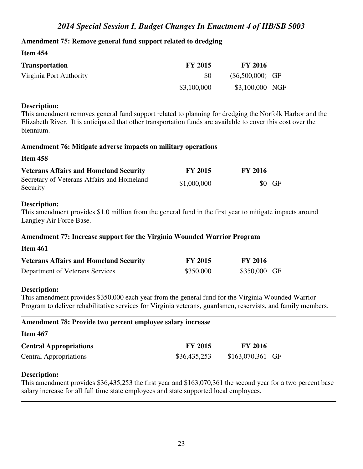## **Amendment 75: Remove general fund support related to dredging**

| Item 454                |                |                    |  |
|-------------------------|----------------|--------------------|--|
| <b>Transportation</b>   | <b>FY 2015</b> | <b>FY 2016</b>     |  |
| Virginia Port Authority | \$0            | $(\$6,500,000)$ GF |  |
|                         | \$3,100,000    | \$3,100,000 NGF    |  |

#### **Description:**

This amendment removes general fund support related to planning for dredging the Norfolk Harbor and the Elizabeth River. It is anticipated that other transportation funds are available to cover this cost over the biennium.

#### **Amendment 76: Mitigate adverse impacts on military operations**

#### **Item 458**

| <b>Veterans Affairs and Homeland Security</b>          | <b>FY 2015</b> | <b>FY 2016</b> |
|--------------------------------------------------------|----------------|----------------|
| Secretary of Veterans Affairs and Homeland<br>Security | \$1,000,000    | \$0 GF         |

### **Description:**

This amendment provides \$1.0 million from the general fund in the first year to mitigate impacts around Langley Air Force Base.

## **Amendment 77: Increase support for the Virginia Wounded Warrior Program**

#### **Item 461**

| <b>Veterans Affairs and Homeland Security</b> | <b>FY 2015</b> | <b>FY 2016</b> |  |
|-----------------------------------------------|----------------|----------------|--|
| Department of Veterans Services               | \$350,000      | \$350,000 GF   |  |

#### **Description:**

This amendment provides \$350,000 each year from the general fund for the Virginia Wounded Warrior Program to deliver rehabilitative services for Virginia veterans, guardsmen, reservists, and family members.

| Amendment 78: Provide two percent employee salary increase |                |                   |  |  |
|------------------------------------------------------------|----------------|-------------------|--|--|
| <b>Item 467</b>                                            |                |                   |  |  |
| <b>Central Appropriations</b>                              | <b>FY 2015</b> | <b>FY 2016</b>    |  |  |
| <b>Central Appropriations</b>                              | \$36,435,253   | $$163,070,361$ GF |  |  |

## **Description:**

This amendment provides \$36,435,253 the first year and \$163,070,361 the second year for a two percent base salary increase for all full time state employees and state supported local employees.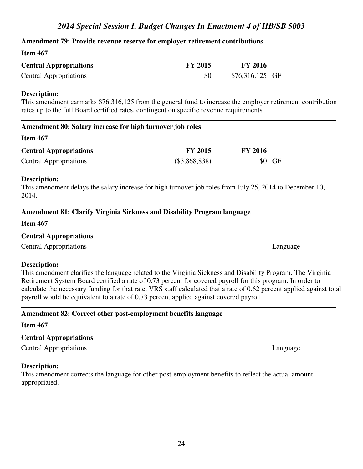## **Amendment 79: Provide revenue reserve for employer retirement contributions**

## **Item 467**

| <b>Central Appropriations</b> | <b>FY 2015</b> | <b>FY 2016</b>   |  |
|-------------------------------|----------------|------------------|--|
| <b>Central Appropriations</b> | \$0            | $$76,316,125$ GF |  |

#### **Description:**

This amendment earmarks \$76,316,125 from the general fund to increase the employer retirement contribution rates up to the full Board certified rates, contingent on specific revenue requirements.

### **Item 467**

| <b>Central Appropriations</b> | <b>FY 2015</b> | <b>FY 2016</b> |
|-------------------------------|----------------|----------------|
| <b>Central Appropriations</b> | (\$3,868,838)  | $$0$ GF        |

## **Description:**

This amendment delays the salary increase for high turnover job roles from July 25, 2014 to December 10, 2014.

## **Amendment 81: Clarify Virginia Sickness and Disability Program language**

## **Item 467**

## **Central Appropriations**

Central Appropriations Language

## **Description:**

## This amendment clarifies the language related to the Virginia Sickness and Disability Program. The Virginia Retirement System Board certified a rate of 0.73 percent for covered payroll for this program. In order to calculate the necessary funding for that rate, VRS staff calculated that a rate of 0.62 percent applied against total payroll would be equivalent to a rate of 0.73 percent applied against covered payroll.

# **Amendment 82: Correct other post-employment benefits language**

## **Item 467**

# **Central Appropriations**

Central Appropriations Language

## **Description:**

This amendment corrects the language for other post-employment benefits to reflect the actual amount appropriated.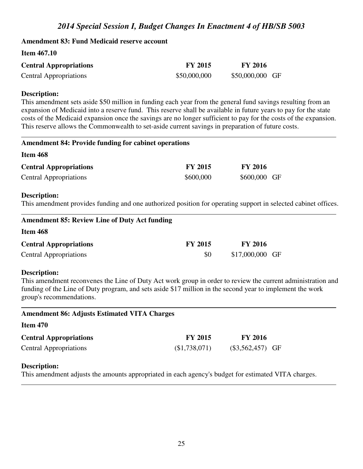#### **Amendment 83: Fund Medicaid reserve account**

#### **Item 467.10**

| <b>Central Appropriations</b> | <b>FY 2015</b> | <b>FY 2016</b>  |
|-------------------------------|----------------|-----------------|
| <b>Central Appropriations</b> | \$50,000,000   | \$50,000,000 GF |

#### **Description:**

This amendment sets aside \$50 million in funding each year from the general fund savings resulting from an expansion of Medicaid into a reserve fund. This reserve shall be available in future years to pay for the state costs of the Medicaid expansion once the savings are no longer sufficient to pay for the costs of the expansion. This reserve allows the Commonwealth to set-aside current savings in preparation of future costs.

| <b>Amendment 84: Provide funding for cabinet operations</b>                                                                    |                |                |  |
|--------------------------------------------------------------------------------------------------------------------------------|----------------|----------------|--|
| Item 468                                                                                                                       |                |                |  |
| <b>Central Appropriations</b>                                                                                                  | <b>FY 2015</b> | <b>FY 2016</b> |  |
| <b>Central Appropriations</b>                                                                                                  | \$600,000      | \$600,000 GF   |  |
| Description:<br>This amendment provides funding and one authorized position for operating support in selected cabinet offices. |                |                |  |

| <b>FY 2015</b> | <b>FY 2016</b>   |
|----------------|------------------|
| \$0            | $$17,000,000$ GF |
|                |                  |

#### **Description:**

This amendment reconvenes the Line of Duty Act work group in order to review the current administration and funding of the Line of Duty program, and sets aside \$17 million in the second year to implement the work group's recommendations.

| <b>Amendment 86: Adjusts Estimated VITA Charges</b> |                |                    |  |
|-----------------------------------------------------|----------------|--------------------|--|
| <b>Item 470</b>                                     |                |                    |  |
| <b>Central Appropriations</b>                       | <b>FY 2015</b> | <b>FY 2016</b>     |  |
| <b>Central Appropriations</b>                       | (\$1,738,071)  | $(\$3,562,457)$ GF |  |
|                                                     |                |                    |  |

## **Description:**

This amendment adjusts the amounts appropriated in each agency's budget for estimated VITA charges.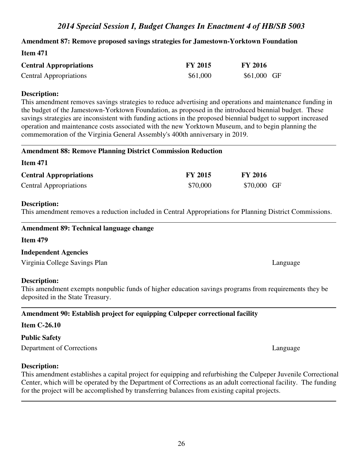### **Amendment 87: Remove proposed savings strategies for Jamestown-Yorktown Foundation**

| 100111 47 1                   |                |                |
|-------------------------------|----------------|----------------|
| <b>Central Appropriations</b> | <b>FY 2015</b> | <b>FY 2016</b> |
| <b>Central Appropriations</b> | \$61,000       | $$61,000$ GF   |

#### **Description:**

**Item 471** 

This amendment removes savings strategies to reduce advertising and operations and maintenance funding in the budget of the Jamestown-Yorktown Foundation, as proposed in the introduced biennial budget. These savings strategies are inconsistent with funding actions in the proposed biennial budget to support increased operation and maintenance costs associated with the new Yorktown Museum, and to begin planning the commemoration of the Virginia General Assembly's 400th anniversary in 2019.

#### **Amendment 88: Remove Planning District Commission Reduction**

| <b>Central Appropriations</b> | <b>FY 2015</b> | <b>FY 2016</b> |
|-------------------------------|----------------|----------------|
| <b>Central Appropriations</b> | \$70,000       | \$70,000 GF    |

#### **Description:**

**Item 471** 

This amendment removes a reduction included in Central Appropriations for Planning District Commissions.

#### **Amendment 89: Technical language change**

**Item 479** 

#### **Independent Agencies**

Virginia College Savings Plan Language

#### **Description:**

This amendment exempts nonpublic funds of higher education savings programs from requirements they be deposited in the State Treasury.

## **Amendment 90: Establish project for equipping Culpeper correctional facility**

#### **Item C-26.10**

#### **Public Safety**

Department of Corrections Language

#### **Description:**

This amendment establishes a capital project for equipping and refurbishing the Culpeper Juvenile Correctional Center, which will be operated by the Department of Corrections as an adult correctional facility. The funding for the project will be accomplished by transferring balances from existing capital projects.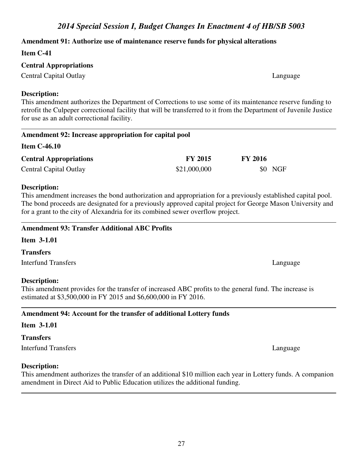## **Amendment 91: Authorize use of maintenance reserve funds for physical alterations**

## **Item C-41**

## **Central Appropriations**

Central Capital Outlay Language

## **Description:**

This amendment authorizes the Department of Corrections to use some of its maintenance reserve funding to retrofit the Culpeper correctional facility that will be transferred to it from the Department of Juvenile Justice for use as an adult correctional facility.

| Amendment 92: Increase appropriation for capital pool |                |                |  |
|-------------------------------------------------------|----------------|----------------|--|
| <b>Item C-46.10</b>                                   |                |                |  |
| <b>Central Appropriations</b>                         | <b>FY 2015</b> | <b>FY 2016</b> |  |
| <b>Central Capital Outlay</b>                         | \$21,000,000   | \$0 NGF        |  |

## **Description:**

This amendment increases the bond authorization and appropriation for a previously established capital pool. The bond proceeds are designated for a previously approved capital project for George Mason University and for a grant to the city of Alexandria for its combined sewer overflow project.

# **Amendment 93: Transfer Additional ABC Profits**

# **Item 3-1.01**

# **Transfers**

Interfund Transfers Language Language Language Language Language Language Language Language Language Language Language Language Language Language Language Language Language Language Language Language Language Language Lang

# **Description:**

This amendment provides for the transfer of increased ABC profits to the general fund. The increase is estimated at \$3,500,000 in FY 2015 and \$6,600,000 in FY 2016.

# **Amendment 94: Account for the transfer of additional Lottery funds**

# **Item 3-1.01**

# **Transfers**

Interfund Transfers Language Language Language Language Language Language Language Language Language Language Language Language Language Language Language Language Language Language Language Language Language Language Lang

# **Description:**

This amendment authorizes the transfer of an additional \$10 million each year in Lottery funds. A companion amendment in Direct Aid to Public Education utilizes the additional funding.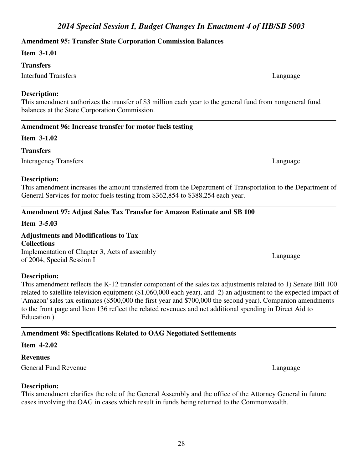## **Amendment 95: Transfer State Corporation Commission Balances**

### **Item 3-1.01**

### **Transfers**

Interfund Transfers Language

## **Description:**

This amendment authorizes the transfer of \$3 million each year to the general fund from nongeneral fund balances at the State Corporation Commission.

# **Amendment 96: Increase transfer for motor fuels testing**

## **Item 3-1.02**

## **Transfers**

Interagency Transfers Language

## **Description:**

This amendment increases the amount transferred from the Department of Transportation to the Department of General Services for motor fuels testing from \$362,854 to \$388,254 each year.

# **Amendment 97: Adjust Sales Tax Transfer for Amazon Estimate and SB 100**

# **Item 3-5.03**

# **Adjustments and Modifications to Tax**

**Collections** Implementation of Chapter 3, Acts of assembly of 2004, Special Session I Language Capacitation of Chapter 3, Acts of assembly the capacitation of 2004, Special Session I

## **Description:**

This amendment reflects the K-12 transfer component of the sales tax adjustments related to 1) Senate Bill 100 related to satellite television equipment (\$1,060,000 each year), and 2) an adjustment to the expected impact of 'Amazon' sales tax estimates (\$500,000 the first year and \$700,000 the second year). Companion amendments to the front page and Item 136 reflect the related revenues and net additional spending in Direct Aid to Education.)

# **Amendment 98: Specifications Related to OAG Negotiated Settlements**

## **Item 4-2.02**

## **Revenues**

General Fund Revenue Language Language Language Language Language Language Language Language Language Language Language Language Language Language Language Language Language Language Language Language Language Language Lan

## **Description:**

This amendment clarifies the role of the General Assembly and the office of the Attorney General in future cases involving the OAG in cases which result in funds being returned to the Commonwealth.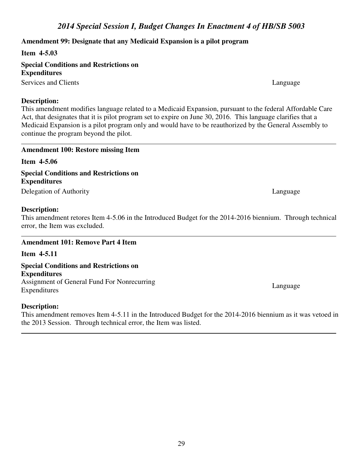## **Amendment 99: Designate that any Medicaid Expansion is a pilot program**

**Item 4-5.03** 

**Special Conditions and Restrictions on Expenditures**

Services and Clients Language

## **Description:**

This amendment modifies language related to a Medicaid Expansion, pursuant to the federal Affordable Care Act, that designates that it is pilot program set to expire on June 30, 2016. This language clarifies that a Medicaid Expansion is a pilot program only and would have to be reauthorized by the General Assembly to continue the program beyond the pilot.

### **Amendment 100: Restore missing Item**

**Item 4-5.06 Special Conditions and Restrictions on Expenditures**

Delegation of Authority Language Language

## **Description:**

This amendment retores Item 4-5.06 in the Introduced Budget for the 2014-2016 biennium. Through technical error, the Item was excluded.

## **Amendment 101: Remove Part 4 Item**

**Item 4-5.11** 

**Special Conditions and Restrictions on Expenditures** Assignment of General Fund For Nonrecurring Expenditures Language

## **Description:**

This amendment removes Item 4-5.11 in the Introduced Budget for the 2014-2016 biennium as it was vetoed in the 2013 Session. Through technical error, the Item was listed.